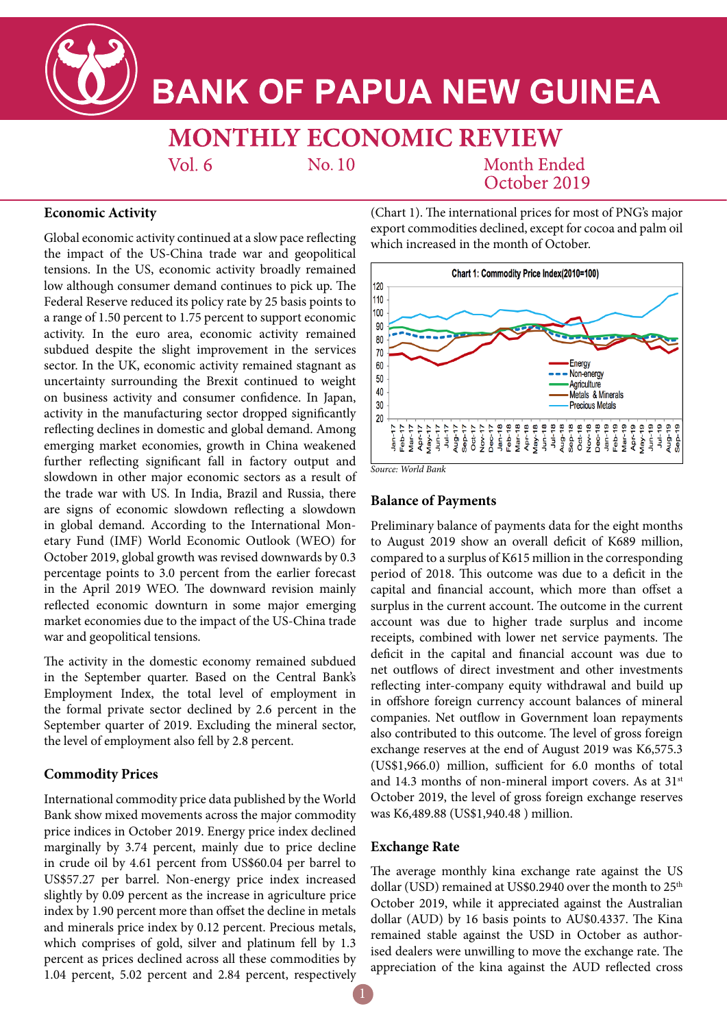

# **BANK OF PAPUA NEW GUINEA**

**MONTHLY ECONOMIC REVIEW** 

 $Vol<sub>6</sub>$ 

 $No.10$ 

# Month Ended October 2019

## **Economic Activity**

Global economic activity continued at a slow pace reflecting the impact of the US-China trade war and geopolitical tensions. In the US, economic activity broadly remained low although consumer demand continues to pick up. The Federal Reserve reduced its policy rate by 25 basis points to a range of 1.50 percent to 1.75 percent to support economic activity. In the euro area, economic activity remained subdued despite the slight improvement in the services sector. In the UK, economic activity remained stagnant as uncertainty surrounding the Brexit continued to weight on business activity and consumer confidence. In Japan, activity in the manufacturing sector dropped significantly reflecting declines in domestic and global demand. Among emerging market economies, growth in China weakened further reflecting significant fall in factory output and slowdown in other major economic sectors as a result of the trade war with US. In India, Brazil and Russia, there are signs of economic slowdown reflecting a slowdown in global demand. According to the International Monetary Fund (IMF) World Economic Outlook (WEO) for October 2019, global growth was revised downwards by 0.3 percentage points to 3.0 percent from the earlier forecast in the April 2019 WEO. The downward revision mainly reflected economic downturn in some major emerging market economies due to the impact of the US-China trade war and geopolitical tensions.

The activity in the domestic economy remained subdued in the September quarter. Based on the Central Bank's Employment Index, the total level of employment in the formal private sector declined by 2.6 percent in the September quarter of 2019. Excluding the mineral sector, the level of employment also fell by 2.8 percent.

## **Commodity Prices**

International commodity price data published by the World Bank show mixed movements across the major commodity price indices in October 2019. Energy price index declined marginally by 3.74 percent, mainly due to price decline in crude oil by 4.61 percent from US\$60.04 per barrel to US\$57.27 per barrel. Non-energy price index increased slightly by 0.09 percent as the increase in agriculture price index by 1.90 percent more than offset the decline in metals and minerals price index by 0.12 percent. Precious metals, which comprises of gold, silver and platinum fell by 1.3 percent as prices declined across all these commodities by 1.04 percent, 5.02 percent and 2.84 percent, respectively (Chart 1). The international prices for most of PNG's major export commodities declined, except for cocoa and palm oil which increased in the month of October.



*Source: World Bank*

#### **Balance of Payments**

Preliminary balance of payments data for the eight months to August 2019 show an overall deficit of K689 million, compared to a surplus of K615 million in the corresponding period of 2018. This outcome was due to a deficit in the capital and financial account, which more than offset a surplus in the current account. The outcome in the current account was due to higher trade surplus and income receipts, combined with lower net service payments. The deficit in the capital and financial account was due to net outflows of direct investment and other investments reflecting inter-company equity withdrawal and build up in offshore foreign currency account balances of mineral companies. Net outflow in Government loan repayments also contributed to this outcome. The level of gross foreign exchange reserves at the end of August 2019 was K6,575.3 (US\$1,966.0) million, sufficient for 6.0 months of total and 14.3 months of non-mineral import covers. As at  $31<sup>st</sup>$ October 2019, the level of gross foreign exchange reserves was K6,489.88 (US\$1,940.48 ) million.

### **Exchange Rate**

The average monthly kina exchange rate against the US dollar (USD) remained at US\$0.2940 over the month to 25<sup>th</sup> October 2019, while it appreciated against the Australian dollar (AUD) by 16 basis points to AU\$0.4337. The Kina remained stable against the USD in October as authorised dealers were unwilling to move the exchange rate. The appreciation of the kina against the AUD reflected cross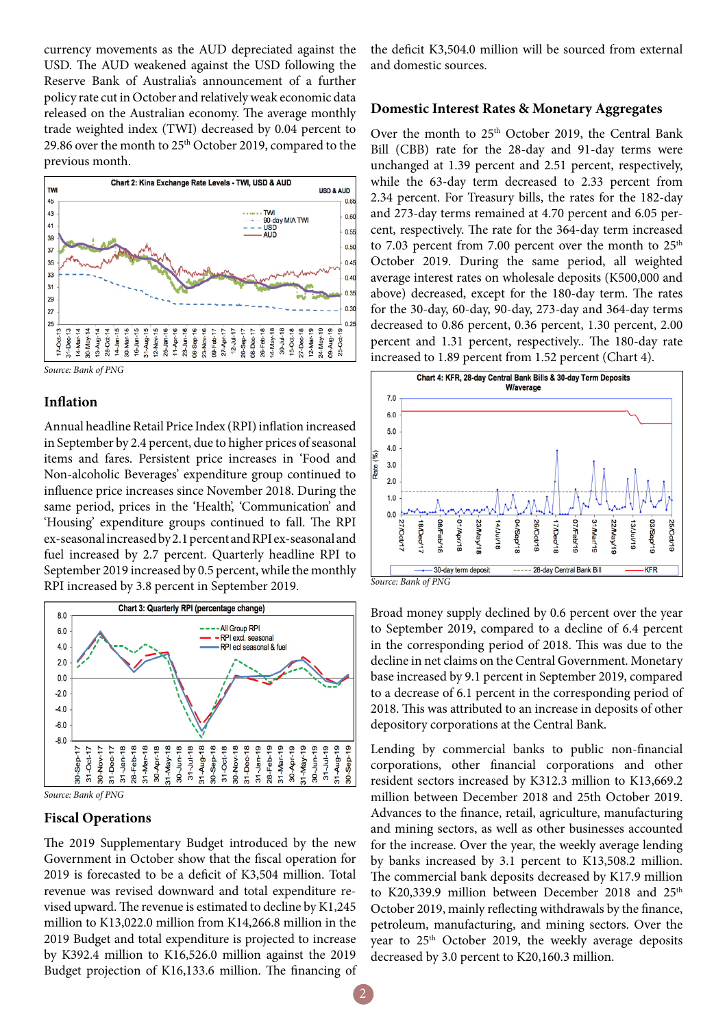currency movements as the AUD depreciated against the USD. The AUD weakened against the USD following the Reserve Bank of Australia's announcement of a further policy rate cut in October and relatively weak economic data released on the Australian economy. The average monthly trade weighted index (TWI) decreased by 0.04 percent to 29.86 over the month to 25<sup>th</sup> October 2019, compared to the previous month.



#### **Inflation**

Annual headline Retail Price Index (RPI) inflation increased in September by 2.4 percent, due to higher prices of seasonal items and fares. Persistent price increases in 'Food and Non-alcoholic Beverages' expenditure group continued to influence price increases since November 2018. During the same period, prices in the 'Health', 'Communication' and 'Housing' expenditure groups continued to fall. The RPI ex-seasonal increased by 2.1 percent and RPI ex-seasonal and fuel increased by 2.7 percent. Quarterly headline RPI to September 2019 increased by 0.5 percent, while the monthly RPI increased by 3.8 percent in September 2019.



*Source: Bank of PNG*

#### **Fiscal Operations**

The 2019 Supplementary Budget introduced by the new Government in October show that the fiscal operation for 2019 is forecasted to be a deficit of K3,504 million. Total revenue was revised downward and total expenditure revised upward. The revenue is estimated to decline by K1,245 million to K13,022.0 million from K14,266.8 million in the 2019 Budget and total expenditure is projected to increase by K392.4 million to K16,526.0 million against the 2019 Budget projection of K16,133.6 million. The financing of the deficit K3,504.0 million will be sourced from external and domestic sources.

#### **Domestic Interest Rates & Monetary Aggregates**

Over the month to  $25<sup>th</sup>$  October 2019, the Central Bank Bill (CBB) rate for the 28-day and 91-day terms were unchanged at 1.39 percent and 2.51 percent, respectively, while the 63-day term decreased to 2.33 percent from 2.34 percent. For Treasury bills, the rates for the 182-day and 273-day terms remained at 4.70 percent and 6.05 percent, respectively. The rate for the 364-day term increased to 7.03 percent from 7.00 percent over the month to  $25<sup>th</sup>$ October 2019. During the same period, all weighted average interest rates on wholesale deposits (K500,000 and above) decreased, except for the 180-day term. The rates for the 30-day, 60-day, 90-day, 273-day and 364-day terms decreased to 0.86 percent, 0.36 percent, 1.30 percent, 2.00 percent and 1.31 percent, respectively.. The 180-day rate increased to 1.89 percent from 1.52 percent (Chart 4).



Broad money supply declined by 0.6 percent over the year to September 2019, compared to a decline of 6.4 percent in the corresponding period of 2018. This was due to the decline in net claims on the Central Government. Monetary base increased by 9.1 percent in September 2019, compared to a decrease of 6.1 percent in the corresponding period of 2018. This was attributed to an increase in deposits of other depository corporations at the Central Bank.

Lending by commercial banks to public non-financial corporations, other financial corporations and other resident sectors increased by K312.3 million to K13,669.2 million between December 2018 and 25th October 2019. Advances to the finance, retail, agriculture, manufacturing and mining sectors, as well as other businesses accounted for the increase. Over the year, the weekly average lending by banks increased by 3.1 percent to K13,508.2 million. The commercial bank deposits decreased by K17.9 million to K20,339.9 million between December 2018 and 25<sup>th</sup> October 2019, mainly reflecting withdrawals by the finance, petroleum, manufacturing, and mining sectors. Over the year to 25<sup>th</sup> October 2019, the weekly average deposits decreased by 3.0 percent to K20,160.3 million.